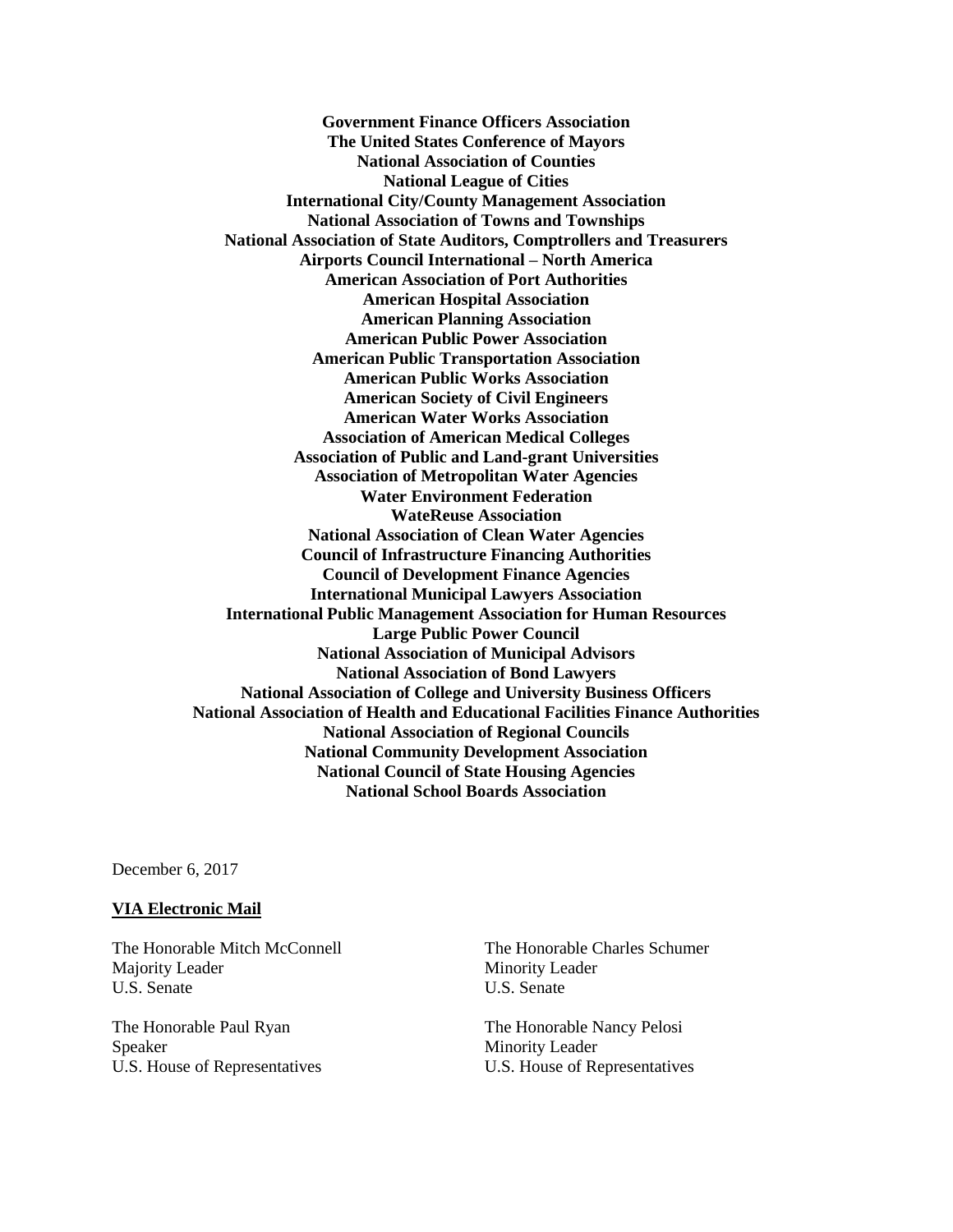**Government Finance Officers Association The United States Conference of Mayors National Association of Counties National League of Cities International City/County Management Association National Association of Towns and Townships National Association of State Auditors, Comptrollers and Treasurers Airports Council International – North America American Association of Port Authorities American Hospital Association American Planning Association American Public Power Association American Public Transportation Association American Public Works Association American Society of Civil Engineers American Water Works Association Association of American Medical Colleges Association of Public and Land-grant Universities Association of Metropolitan Water Agencies Water Environment Federation WateReuse Association National Association of Clean Water Agencies Council of Infrastructure Financing Authorities Council of Development Finance Agencies International Municipal Lawyers Association International Public Management Association for Human Resources Large Public Power Council National Association of Municipal Advisors National Association of Bond Lawyers National Association of College and University Business Officers National Association of Health and Educational Facilities Finance Authorities National Association of Regional Councils National Community Development Association National Council of State Housing Agencies National School Boards Association**

December 6, 2017

## **VIA Electronic Mail**

The Honorable Mitch McConnell Majority Leader U.S. Senate

The Honorable Paul Ryan Speaker U.S. House of Representatives The Honorable Charles Schumer Minority Leader U.S. Senate

The Honorable Nancy Pelosi Minority Leader U.S. House of Representatives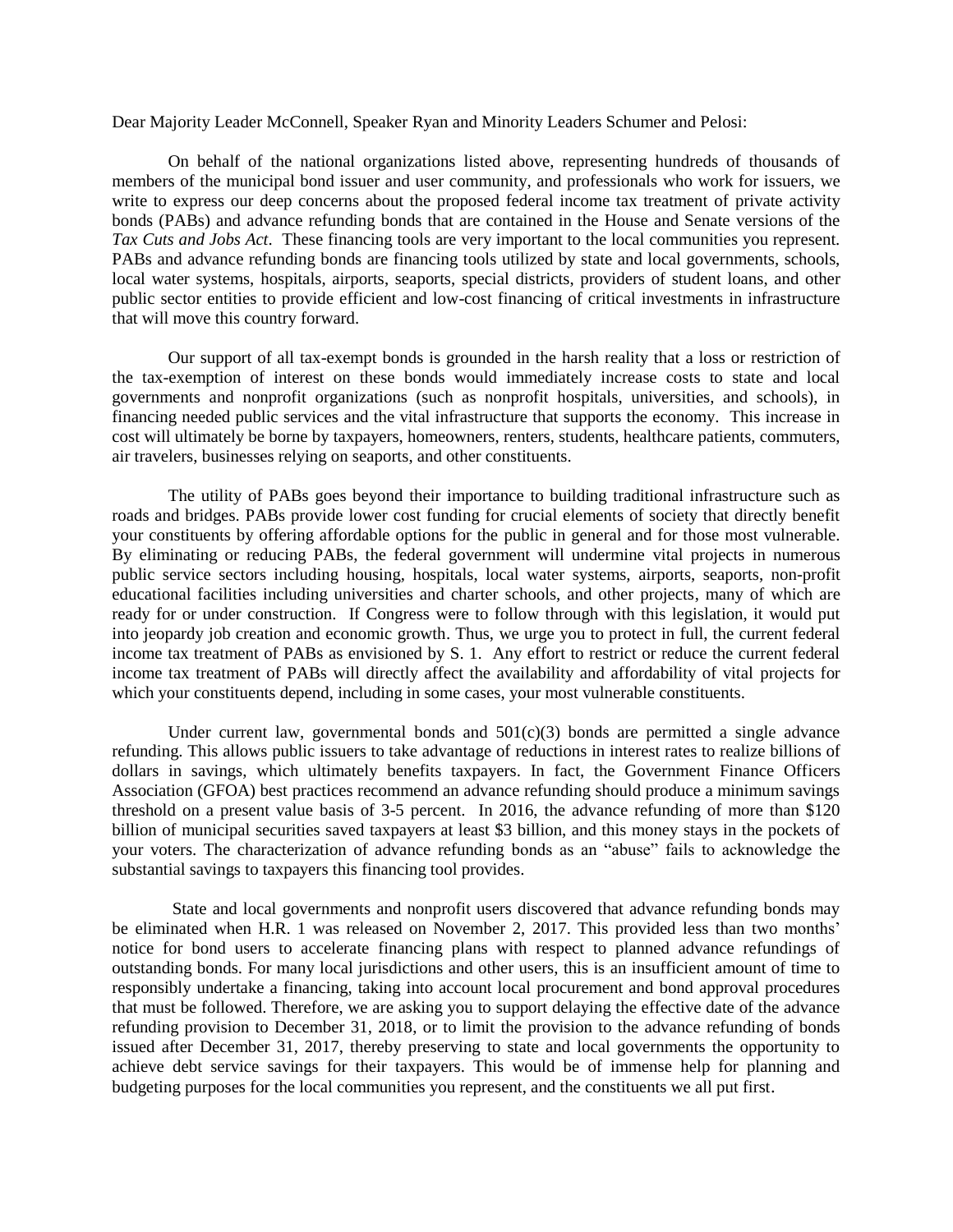Dear Majority Leader McConnell, Speaker Ryan and Minority Leaders Schumer and Pelosi:

On behalf of the national organizations listed above, representing hundreds of thousands of members of the municipal bond issuer and user community, and professionals who work for issuers, we write to express our deep concerns about the proposed federal income tax treatment of private activity bonds (PABs) and advance refunding bonds that are contained in the House and Senate versions of the *Tax Cuts and Jobs Act*. These financing tools are very important to the local communities you represent. PABs and advance refunding bonds are financing tools utilized by state and local governments, schools, local water systems, hospitals, airports, seaports, special districts, providers of student loans, and other public sector entities to provide efficient and low-cost financing of critical investments in infrastructure that will move this country forward.

Our support of all tax-exempt bonds is grounded in the harsh reality that a loss or restriction of the tax-exemption of interest on these bonds would immediately increase costs to state and local governments and nonprofit organizations (such as nonprofit hospitals, universities, and schools), in financing needed public services and the vital infrastructure that supports the economy. This increase in cost will ultimately be borne by taxpayers, homeowners, renters, students, healthcare patients, commuters, air travelers, businesses relying on seaports, and other constituents.

The utility of PABs goes beyond their importance to building traditional infrastructure such as roads and bridges. PABs provide lower cost funding for crucial elements of society that directly benefit your constituents by offering affordable options for the public in general and for those most vulnerable. By eliminating or reducing PABs, the federal government will undermine vital projects in numerous public service sectors including housing, hospitals, local water systems, airports, seaports, non-profit educational facilities including universities and charter schools, and other projects, many of which are ready for or under construction. If Congress were to follow through with this legislation, it would put into jeopardy job creation and economic growth. Thus, we urge you to protect in full, the current federal income tax treatment of PABs as envisioned by S. 1. Any effort to restrict or reduce the current federal income tax treatment of PABs will directly affect the availability and affordability of vital projects for which your constituents depend, including in some cases, your most vulnerable constituents.

Under current law, governmental bonds and  $501(c)(3)$  bonds are permitted a single advance refunding. This allows public issuers to take advantage of reductions in interest rates to realize billions of dollars in savings, which ultimately benefits taxpayers. In fact, the Government Finance Officers Association (GFOA) best practices recommend an advance refunding should produce a minimum savings threshold on a present value basis of 3-5 percent. In 2016, the advance refunding of more than \$120 billion of municipal securities saved taxpayers at least \$3 billion, and this money stays in the pockets of your voters. The characterization of advance refunding bonds as an "abuse" fails to acknowledge the substantial savings to taxpayers this financing tool provides.

State and local governments and nonprofit users discovered that advance refunding bonds may be eliminated when H.R. 1 was released on November 2, 2017. This provided less than two months' notice for bond users to accelerate financing plans with respect to planned advance refundings of outstanding bonds. For many local jurisdictions and other users, this is an insufficient amount of time to responsibly undertake a financing, taking into account local procurement and bond approval procedures that must be followed. Therefore, we are asking you to support delaying the effective date of the advance refunding provision to December 31, 2018, or to limit the provision to the advance refunding of bonds issued after December 31, 2017, thereby preserving to state and local governments the opportunity to achieve debt service savings for their taxpayers. This would be of immense help for planning and budgeting purposes for the local communities you represent, and the constituents we all put first.